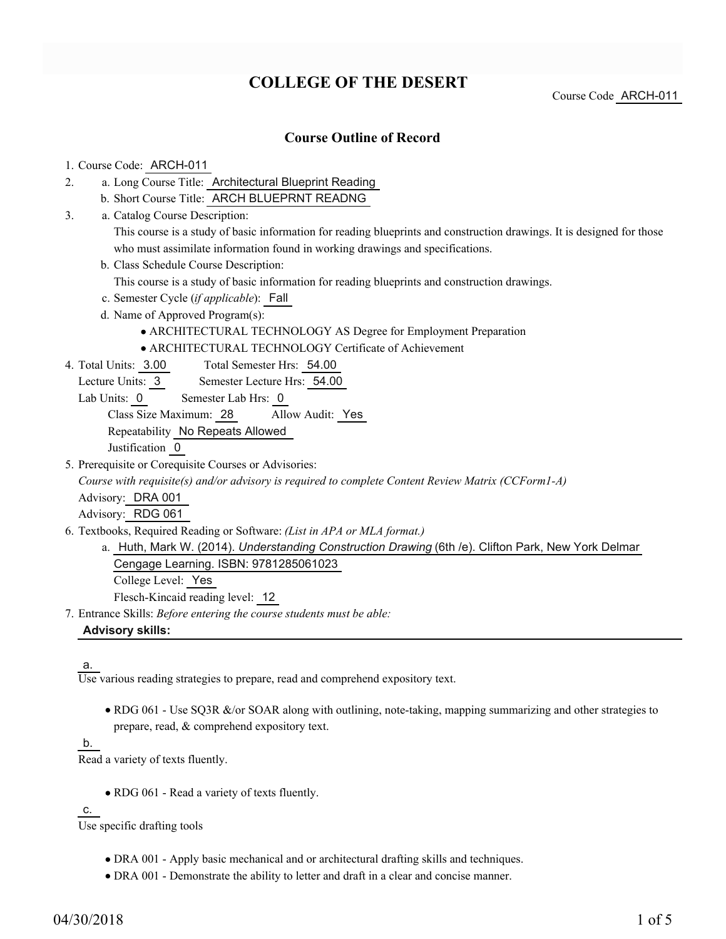# **COLLEGE OF THE DESERT**

Course Code ARCH-011

## **Course Outline of Record**

#### 1. Course Code: ARCH-011

- a. Long Course Title: Architectural Blueprint Reading 2.
	- b. Short Course Title: ARCH BLUEPRNT READNG
- Catalog Course Description: a. 3.

This course is a study of basic information for reading blueprints and construction drawings. It is designed for those who must assimilate information found in working drawings and specifications.

b. Class Schedule Course Description:

This course is a study of basic information for reading blueprints and construction drawings.

- c. Semester Cycle (*if applicable*): Fall
- d. Name of Approved Program(s):
	- ARCHITECTURAL TECHNOLOGY AS Degree for Employment Preparation
	- ARCHITECTURAL TECHNOLOGY Certificate of Achievement
- Total Semester Hrs: 54.00 4. Total Units: 3.00

Lecture Units: 3 Semester Lecture Hrs: 54.00

Lab Units: 0 Semester Lab Hrs: 0

Class Size Maximum: 28 Allow Audit: Yes

Repeatability No Repeats Allowed

Justification 0

5. Prerequisite or Corequisite Courses or Advisories:

*Course with requisite(s) and/or advisory is required to complete Content Review Matrix (CCForm1-A)*

Advisory: DRA 001

Advisory: RDG 061

- Textbooks, Required Reading or Software: *(List in APA or MLA format.)* 6.
	- a. Huth, Mark W. (2014). *Understanding Construction Drawing* (6th /e). Clifton Park, New York Delmar Cengage Learning. ISBN: 9781285061023 College Level: Yes

Flesch-Kincaid reading level: 12

Entrance Skills: *Before entering the course students must be able:* 7. **Advisory skills:**

#### a.

Use various reading strategies to prepare, read and comprehend expository text.

• RDG 061 - Use SQ3R &/or SOAR along with outlining, note-taking, mapping summarizing and other strategies to prepare, read, & comprehend expository text.

## b.

Read a variety of texts fluently.

• RDG 061 - Read a variety of texts fluently.

c.

Use specific drafting tools

- DRA 001 Apply basic mechanical and or architectural drafting skills and techniques.
- DRA 001 Demonstrate the ability to letter and draft in a clear and concise manner.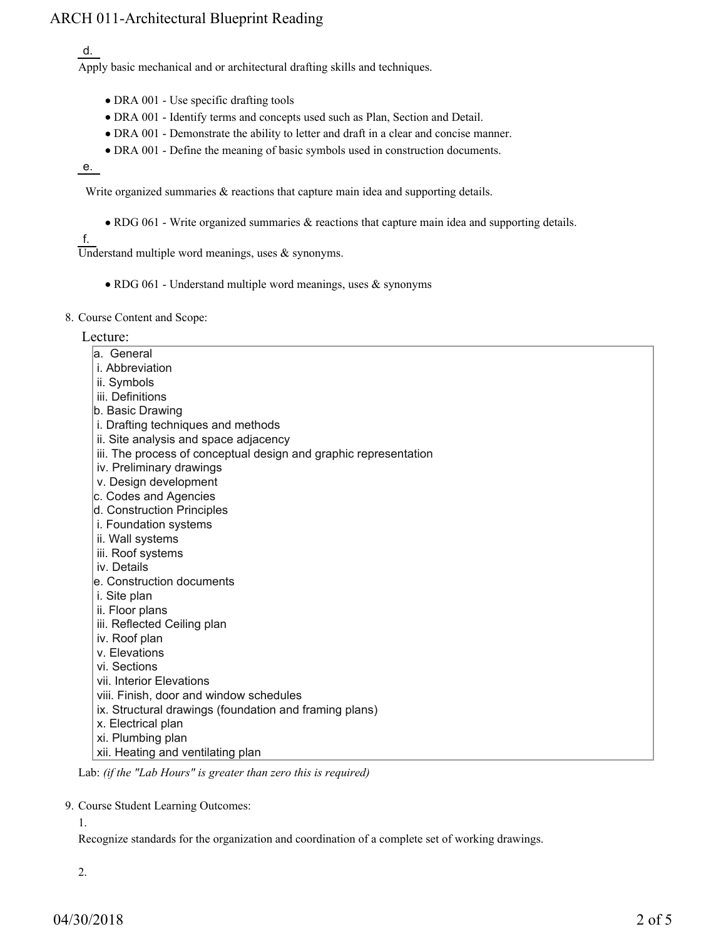# ARCH 011-Architectural Blueprint Reading

d.

Apply basic mechanical and or architectural drafting skills and techniques.

- DRA 001 Use specific drafting tools
- DRA 001 Identify terms and concepts used such as Plan, Section and Detail.
- DRA 001 Demonstrate the ability to letter and draft in a clear and concise manner.
- DRA 001 Define the meaning of basic symbols used in construction documents.

e.

Write organized summaries  $\&$  reactions that capture main idea and supporting details.

RDG 061 - Write organized summaries & reactions that capture main idea and supporting details.

f.

Understand multiple word meanings, uses  $\&$  synonyms.

- RDG 061 Understand multiple word meanings, uses & synonyms
- 8. Course Content and Scope:

### Lecture:

- a. General
- i. Abbreviation
- ii. Symbols
- iii. Definitions
- b. Basic Drawing
- i. Drafting techniques and methods
- ii. Site analysis and space adjacency
- iii. The process of conceptual design and graphic representation
- iv. Preliminary drawings
- v. Design development
- c. Codes and Agencies
- d. Construction Principles
- i. Foundation systems
- ii. Wall systems
- iii. Roof systems
- iv. Details
- e. Construction documents
- i. Site plan
- ii. Floor plans
- iii. Reflected Ceiling plan
- iv. Roof plan
- v. Elevations
- vi. Sections
- vii. Interior Elevations
- viii. Finish, door and window schedules
- ix. Structural drawings (foundation and framing plans)
- x. Electrical plan
- xi. Plumbing plan
- xii. Heating and ventilating plan

Lab: *(if the "Lab Hours" is greater than zero this is required)*

9. Course Student Learning Outcomes:

1.

Recognize standards for the organization and coordination of a complete set of working drawings.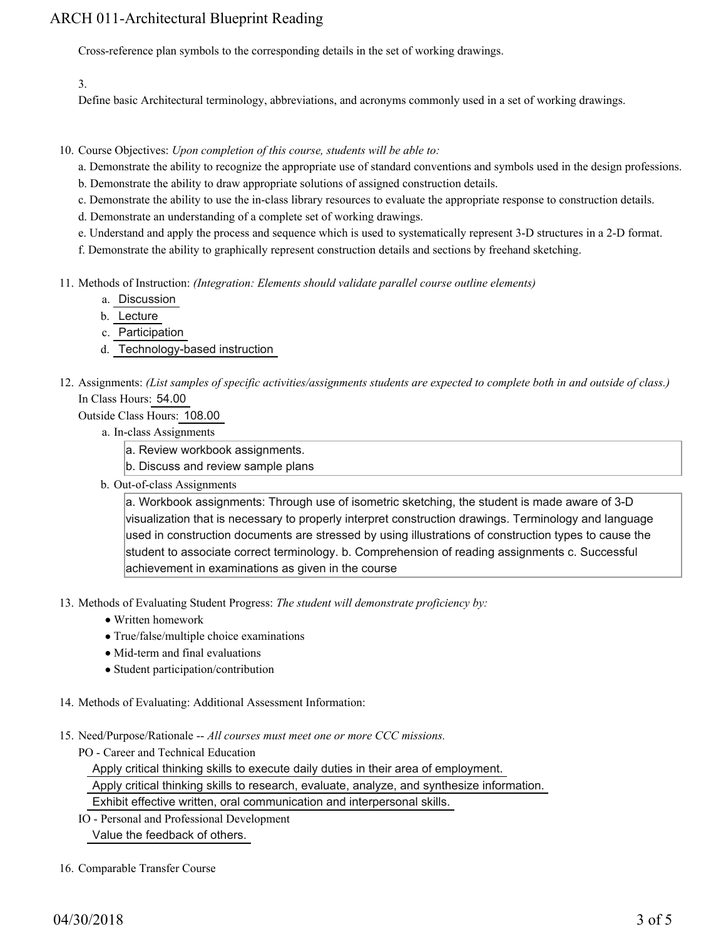# ARCH 011-Architectural Blueprint Reading

Cross-reference plan symbols to the corresponding details in the set of working drawings.

3.

Define basic Architectural terminology, abbreviations, and acronyms commonly used in a set of working drawings.

10. Course Objectives: Upon completion of this course, students will be able to:

- a. Demonstrate the ability to recognize the appropriate use of standard conventions and symbols used in the design professions.
- b. Demonstrate the ability to draw appropriate solutions of assigned construction details.
- c. Demonstrate the ability to use the in-class library resources to evaluate the appropriate response to construction details.
- d. Demonstrate an understanding of a complete set of working drawings.
- e. Understand and apply the process and sequence which is used to systematically represent 3-D structures in a 2-D format.

f. Demonstrate the ability to graphically represent construction details and sections by freehand sketching.

- Methods of Instruction: *(Integration: Elements should validate parallel course outline elements)* 11.
	- a. Discussion
	- b. Lecture
	- c. Participation
	- d. Technology-based instruction
- 12. Assignments: (List samples of specific activities/assignments students are expected to complete both in and outside of class.) In Class Hours: 54.00

Outside Class Hours: 108.00

- a. In-class Assignments
	- a. Review workbook assignments.
	- b. Discuss and review sample plans
- b. Out-of-class Assignments

a. Workbook assignments: Through use of isometric sketching, the student is made aware of 3-D visualization that is necessary to properly interpret construction drawings. Terminology and language used in construction documents are stressed by using illustrations of construction types to cause the student to associate correct terminology. b. Comprehension of reading assignments c. Successful achievement in examinations as given in the course

- 13. Methods of Evaluating Student Progress: The student will demonstrate proficiency by:
	- Written homework
	- True/false/multiple choice examinations
	- Mid-term and final evaluations
	- Student participation/contribution
- 14. Methods of Evaluating: Additional Assessment Information:
- 15. Need/Purpose/Rationale -- All courses must meet one or more CCC missions.
	- PO Career and Technical Education

Apply critical thinking skills to execute daily duties in their area of employment.

Apply critical thinking skills to research, evaluate, analyze, and synthesize information.

Exhibit effective written, oral communication and interpersonal skills.

IO - Personal and Professional Development

Value the feedback of others.

16. Comparable Transfer Course